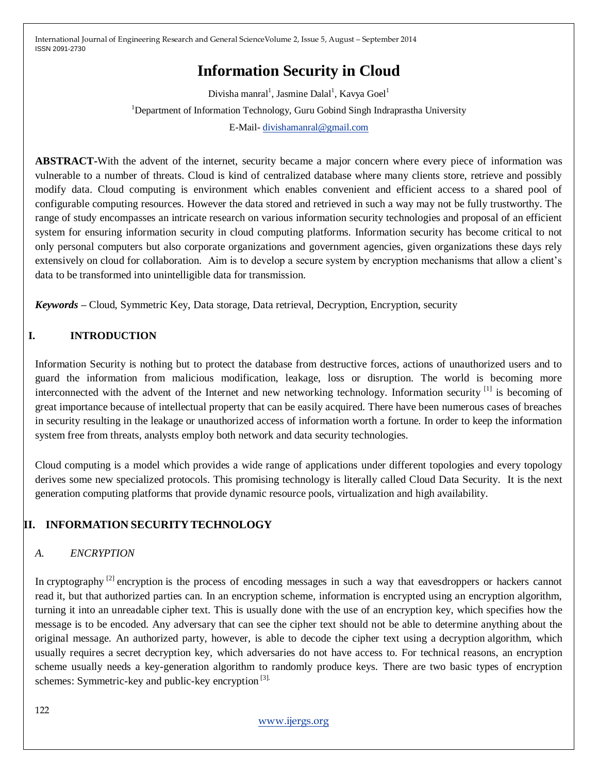# **Information Security in Cloud**

Divisha manral<sup>1</sup>, Jasmine Dalal<sup>1</sup>, Kavya Goel<sup>1</sup> <sup>1</sup>Department of Information Technology, Guru Gobind Singh Indraprastha University E-Mail- [divishamanral@gmail.com](mailto:divishamanral@gmail.com)

**ABSTRACT-**With the advent of the internet, security became a major concern where every piece of information was vulnerable to a number of threats. Cloud is kind of centralized database where many clients store, retrieve and possibly modify data. Cloud computing is environment which enables convenient and efficient access to a shared pool of configurable computing resources. However the data stored and retrieved in such a way may not be fully trustworthy. The range of study encompasses an intricate research on various information security technologies and proposal of an efficient system for ensuring information security in cloud computing platforms. Information security has become critical to not only personal computers but also corporate organizations and government agencies, given organizations these days rely extensively on cloud for collaboration. Aim is to develop a secure system by encryption mechanisms that allow a client"s data to be transformed into unintelligible data for transmission.

*Keywords –* Cloud, Symmetric Key, Data storage, Data retrieval, Decryption, Encryption, security

## **I. INTRODUCTION**

Information Security is nothing but to protect the database from destructive forces, actions of unauthorized users and to guard the information from malicious modification, leakage, loss or disruption. The world is becoming more interconnected with the advent of the Internet and new networking technology. Information security [1] is becoming of great importance because of intellectual property that can be easily acquired. There have been numerous cases of breaches in security resulting in the leakage or unauthorized access of information worth a fortune. In order to keep the information system free from threats, analysts employ both network and data security technologies.

Cloud computing is a model which provides a wide range of applications under different topologies and every topology derives some new specialized protocols. This promising technology is literally called Cloud Data Security. It is the next generation computing platforms that provide dynamic resource pools, virtualization and high availability.

## **II. INFORMATION SECURITY TECHNOLOGY**

## *A. ENCRYPTION*

In cryptography  $^{[2]}$  encryption is the process of encoding messages in such a way that eavesdroppers or hackers cannot read it, but that authorized parties can. In an encryption scheme, information is encrypted using an encryption algorithm, turning it into an unreadable cipher text. This is usually done with the use of an encryption key, which specifies how the message is to be encoded. Any adversary that can see the cipher text should not be able to determine anything about the original message. An authorized party, however, is able to decode the cipher text using a decryption algorithm, which usually requires a secret decryption key, which adversaries do not have access to. For technical reasons, an encryption scheme usually needs a key-generation algorithm to randomly produce keys. There are two basic types of encryption schemes: Symmetric-key and public-key encryption [3].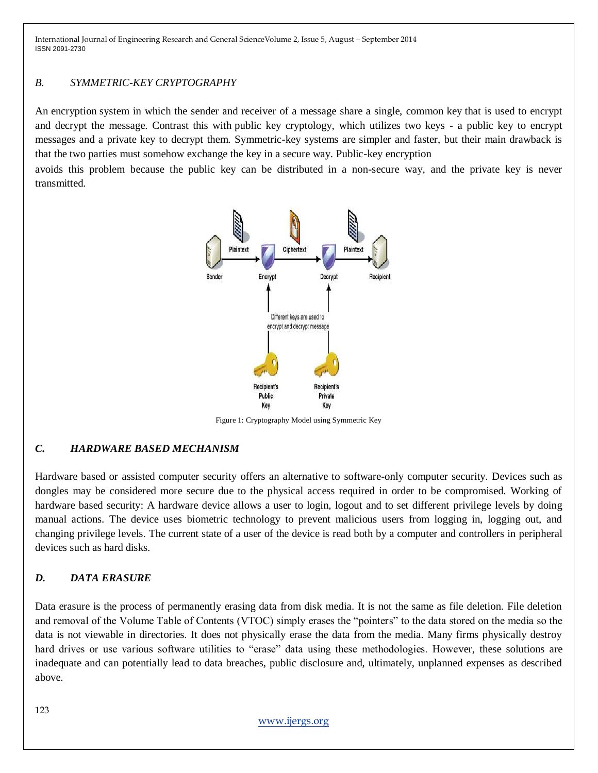## *B. SYMMETRIC-KEY CRYPTOGRAPHY*

An encryption system in which the sender and receiver of a message share a single, common key that is used to encrypt and decrypt the message. Contrast this with [public](http://www.webopedia.com/TERM/P/public_key_cryptography.html) key cryptology, which utilizes two keys - a public key to encrypt messages and a private key to decrypt them. Symmetric-key systems are simpler and faster, but their main drawback is that the two parties must somehow exchange the key in a secure way. Public-key encryption

avoids this problem because the public key can be distributed in a non-secure way, and the private key is never transmitted.



Figure 1: Cryptography Model using Symmetric Key

## *C. HARDWARE BASED MECHANISM*

Hardware based or assisted computer security offers an alternative to software-only computer security. Devices such as dongles may be considered more secure due to the physical access required in order to be compromised. Working of hardware based security: A hardware device allows a user to login, logout and to set different privilege levels by doing manual actions. The device uses biometric technology to prevent malicious users from logging in, logging out, and changing privilege levels. The current state of a user of the device is read both by a computer and controllers in peripheral devices such as hard disks.

## *D. DATA ERASURE*

Data erasure is the process of permanently erasing data from disk media. It is not the same as file deletion. File deletion and removal of the Volume Table of Contents (VTOC) simply erases the "pointers" to the data stored on the media so the data is not viewable in directories. It does not physically erase the data from the media. Many firms physically destroy hard drives or use various software utilities to "erase" data using these methodologies. However, these solutions are inadequate and can potentially lead to data breaches, public disclosure and, ultimately, unplanned expenses as described above.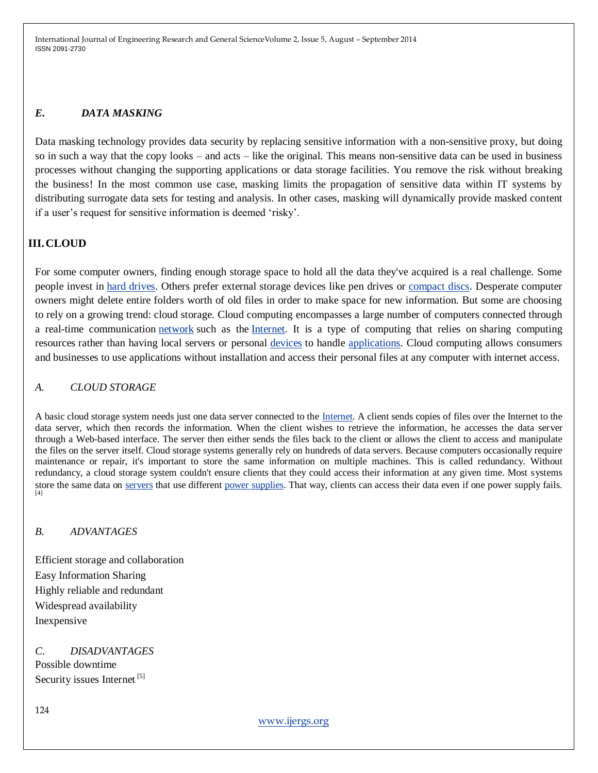## *E. DATA MASKING*

Data masking technology provides data security by replacing sensitive information with a non-sensitive proxy, but doing so in such a way that the copy looks – and acts – like the original. This means non-sensitive data can be used in business processes without changing the supporting applications or data storage facilities. You remove the risk without breaking the business! In the most common use case, masking limits the propagation of sensitive data within IT systems by distributing surrogate data sets for testing and analysis. In other cases, masking will dynamically provide masked content if a user"s request for sensitive information is deemed "risky".

## **III.CLOUD**

For some computer owners, finding enough storage space to hold all the data they've acquired is a real challenge. Some people invest in [hard drives.](http://computer.howstuffworks.com/hard-disk.htm) Others prefer external storage devices like pen drives or [compact discs.](http://electronics.howstuffworks.com/cd.htm) Desperate computer owners might delete entire folders worth of old files in order to make space for new information. But some are choosing to rely on a growing trend: cloud storage. Cloud computing encompasses a large number of computers connected through a real-time communication [network](http://en.wikipedia.org/wiki/Computer_network) such as the [Internet.](http://en.wikipedia.org/wiki/Internet) It is a type of computing that relies on sharing computing resources rather than having local servers or personal [devices](http://www.webopedia.com/TERM/D/device.html) to handle [applications.](http://www.webopedia.com/TERM/A/application.html) Cloud computing allows consumers and businesses to use applications without installation and access their personal files at any computer with internet access.

#### *A. CLOUD STORAGE*

A basic cloud storage system needs just one data server connected to the [Internet.](http://computer.howstuffworks.com/internet/basics/internet-infrastructure.htm) A client sends copies of files over the Internet to the data server, which then records the information. When the client wishes to retrieve the information, he accesses the data server through a Web-based interface. The server then either sends the files back to the client or allows the client to access and manipulate the files on the server itself. Cloud storage systems generally rely on hundreds of data servers. Because computers occasionally require maintenance or repair, it's important to store the same information on multiple machines. This is called redundancy. Without redundancy, a cloud storage system couldn't ensure clients that they could access their information at any given time. Most systems store the same data on [servers](http://computer.howstuffworks.com/web-server.htm) that use different [power supplies.](http://computer.howstuffworks.com/power-supply.htm) That way, clients can access their data even if one power supply fails. [4]

#### *B. ADVANTAGES*

Efficient storage and collaboration Easy Information Sharing Highly reliable and redundant Widespread availability Inexpensive

*C. DISADVANTAGES* Possible downtime Security issues Internet<sup>[5]</sup>

124

[www.ijergs.org](http://www.ijergs.org/)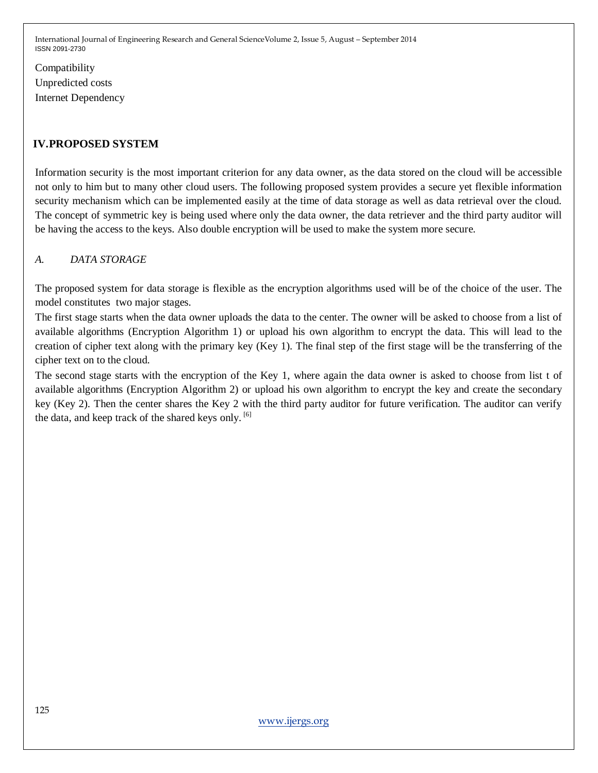Compatibility Unpredicted costs Internet Dependency

## **IV.PROPOSED SYSTEM**

Information security is the most important criterion for any data owner, as the data stored on the cloud will be accessible not only to him but to many other cloud users. The following proposed system provides a secure yet flexible information security mechanism which can be implemented easily at the time of data storage as well as data retrieval over the cloud. The concept of symmetric key is being used where only the data owner, the data retriever and the third party auditor will be having the access to the keys. Also double encryption will be used to make the system more secure.

## *A. DATA STORAGE*

The proposed system for data storage is flexible as the encryption algorithms used will be of the choice of the user. The model constitutes two major stages.

The first stage starts when the data owner uploads the data to the center. The owner will be asked to choose from a list of available algorithms (Encryption Algorithm 1) or upload his own algorithm to encrypt the data. This will lead to the creation of cipher text along with the primary key (Key 1). The final step of the first stage will be the transferring of the cipher text on to the cloud.

The second stage starts with the encryption of the Key 1, where again the data owner is asked to choose from list t of available algorithms (Encryption Algorithm 2) or upload his own algorithm to encrypt the key and create the secondary key (Key 2). Then the center shares the Key 2 with the third party auditor for future verification. The auditor can verify the data, and keep track of the shared keys only. <sup>[6]</sup>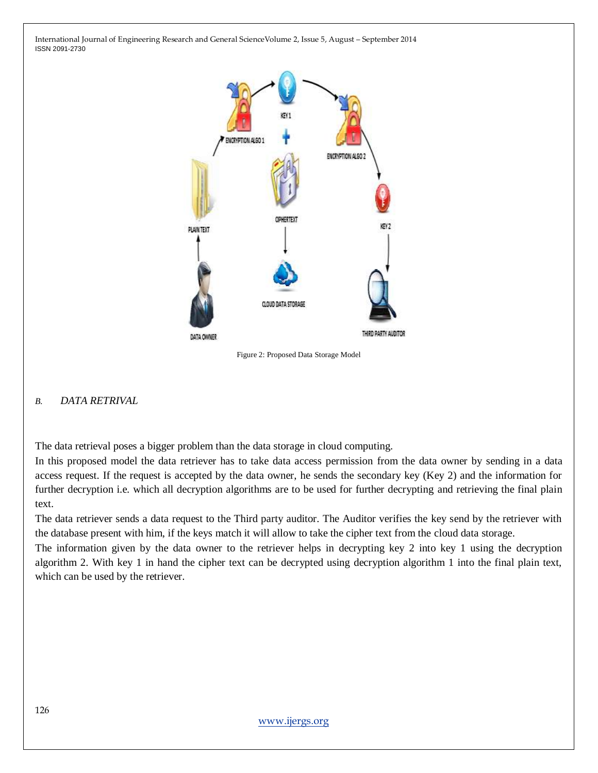

Figure 2: Proposed Data Storage Model

#### *B. DATA RETRIVAL*

The data retrieval poses a bigger problem than the data storage in cloud computing.

In this proposed model the data retriever has to take data access permission from the data owner by sending in a data access request. If the request is accepted by the data owner, he sends the secondary key (Key 2) and the information for further decryption i.e. which all decryption algorithms are to be used for further decrypting and retrieving the final plain text.

The data retriever sends a data request to the Third party auditor. The Auditor verifies the key send by the retriever with the database present with him, if the keys match it will allow to take the cipher text from the cloud data storage.

The information given by the data owner to the retriever helps in decrypting key 2 into key 1 using the decryption algorithm 2. With key 1 in hand the cipher text can be decrypted using decryption algorithm 1 into the final plain text, which can be used by the retriever.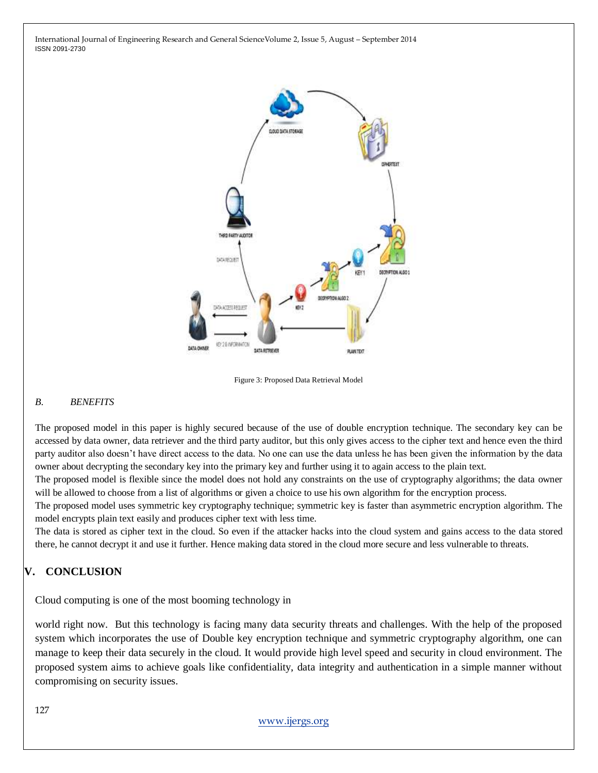

Figure 3: Proposed Data Retrieval Model

#### *B. BENEFITS*

The proposed model in this paper is highly secured because of the use of double encryption technique. The secondary key can be accessed by data owner, data retriever and the third party auditor, but this only gives access to the cipher text and hence even the third party auditor also doesn't have direct access to the data. No one can use the data unless he has been given the information by the data owner about decrypting the secondary key into the primary key and further using it to again access to the plain text.

The proposed model is flexible since the model does not hold any constraints on the use of cryptography algorithms; the data owner will be allowed to choose from a list of algorithms or given a choice to use his own algorithm for the encryption process.

The proposed model uses symmetric key cryptography technique; symmetric key is faster than asymmetric encryption algorithm. The model encrypts plain text easily and produces cipher text with less time.

The data is stored as cipher text in the cloud. So even if the attacker hacks into the cloud system and gains access to the data stored there, he cannot decrypt it and use it further. Hence making data stored in the cloud more secure and less vulnerable to threats.

## **V. CONCLUSION**

Cloud computing is one of the most booming technology in

world right now. But this technology is facing many data security threats and challenges. With the help of the proposed system which incorporates the use of Double key encryption technique and symmetric cryptography algorithm, one can manage to keep their data securely in the cloud. It would provide high level speed and security in cloud environment. The proposed system aims to achieve goals like confidentiality, data integrity and authentication in a simple manner without compromising on security issues.

[www.ijergs.org](http://www.ijergs.org/)